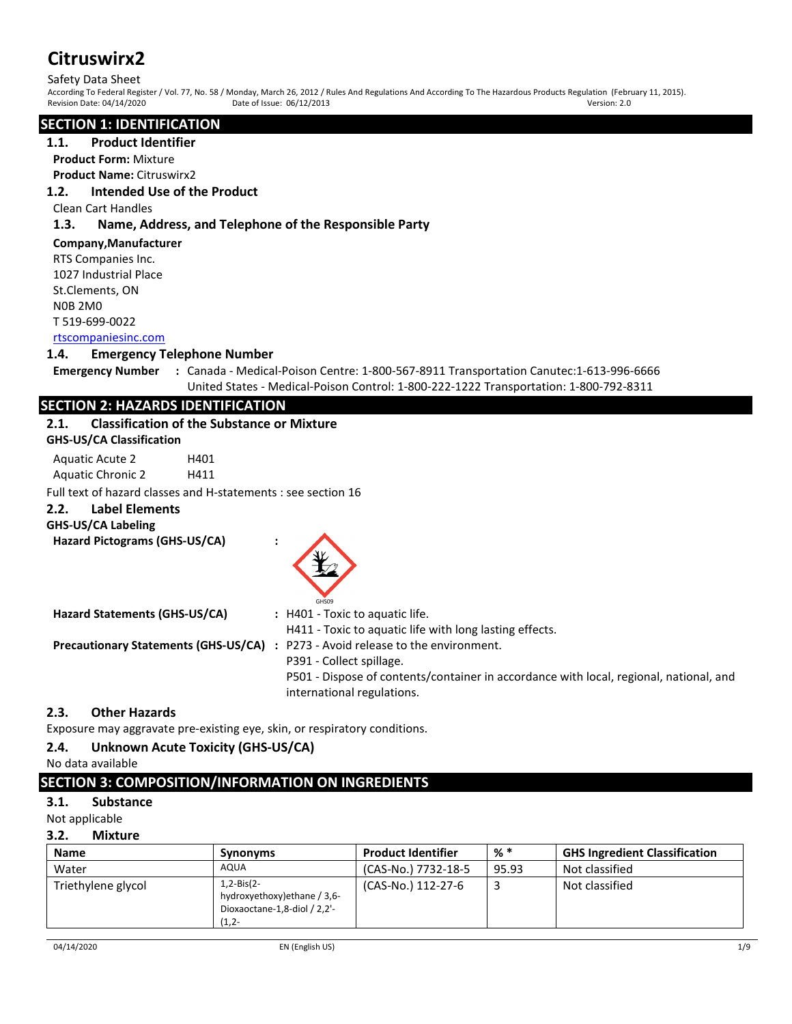Safety Data Sheet<br>According To Federal Register / Vol. 77, No. 58 / Monday, March 26, 2012 / Rules And Regulations And According To The Hazardous Products Regulation (February 11, 2015).<br>Revision Date: 04/14/2020 Date of I Revision Date: 04/14/2020 Date of Issue: 06/12/2013 Date of Issue: 06/12/2013

# **SECTION 1: IDENTIFICATION**

# **1.1. Product Identifier**

**Product Form:** Mixture

# **Product Name:** Citruswirx2

# **1.2. Intended Use of the Product**

#### Clean Cart Handles

# **1.3. Name, Address, and Telephone of the Responsible Party**

### **Company,Manufacturer**

RTS Companies Inc. 1027 Industrial Place St.Clements, ON N0B 2M0 T 519-699-0022 [rtscompaniesinc.com](http://rtscompaniesinc.com/)

#### **1.4. Emergency Telephone Number**

**Emergency Number :** Canada - Medical-Poison Centre: 1-800-567-8911 Transportation Canutec:1-613-996-6666 United States - Medical-Poison Control: 1-800-222-1222 Transportation: 1-800-792-8311

# **SECTION 2: HAZARDS IDENTIFICATION**

#### **2.1. Classification of the Substance or Mixture**

| <b>GHS-US/CA Classification</b> |
|---------------------------------|
|---------------------------------|

Aquatic Acute 2 H401 Aquatic Chronic 2 H411

Full text of hazard classes and H-statements : see section 16

# **2.2. Label Elements**

# **GHS-US/CA Labeling**

**Hazard Pictograms (GHS-US/CA) :**



| Hazard Statements (GHS-US/CA) | : H401 - Toxic to aquatic life.                                                        |
|-------------------------------|----------------------------------------------------------------------------------------|
|                               | H411 - Toxic to aquatic life with long lasting effects.                                |
|                               | <b>Precautionary Statements (GHS-US/CA) :</b> P273 - Avoid release to the environment. |
|                               | P391 - Collect spillage.                                                               |
|                               | P501 - Dispose of contents/container in accordance with local, regional, national, and |
|                               | international regulations.                                                             |

# **2.3. Other Hazards**

Exposure may aggravate pre-existing eye, skin, or respiratory conditions.

# **2.4. Unknown Acute Toxicity (GHS-US/CA)**

# No data available

# **SECTION 3: COMPOSITION/INFORMATION ON INGREDIENTS**

# **3.1. Substance**

Not applicable

# **3.2. Mixture**

| <b>Name</b>        | <b>Synonyms</b>                                                                              | <b>Product Identifier</b> | % *   | <b>GHS Ingredient Classification</b> |
|--------------------|----------------------------------------------------------------------------------------------|---------------------------|-------|--------------------------------------|
| Water              | AQUA                                                                                         | (CAS-No.) 7732-18-5       | 95.93 | Not classified                       |
| Triethylene glycol | $1.2 - Bis(2 -$<br>hydroxyethoxy) ethane / 3,6-<br>Dioxaoctane-1,8-diol / 2,2'-<br>$(1, 2 -$ | (CAS-No.) 112-27-6        |       | Not classified                       |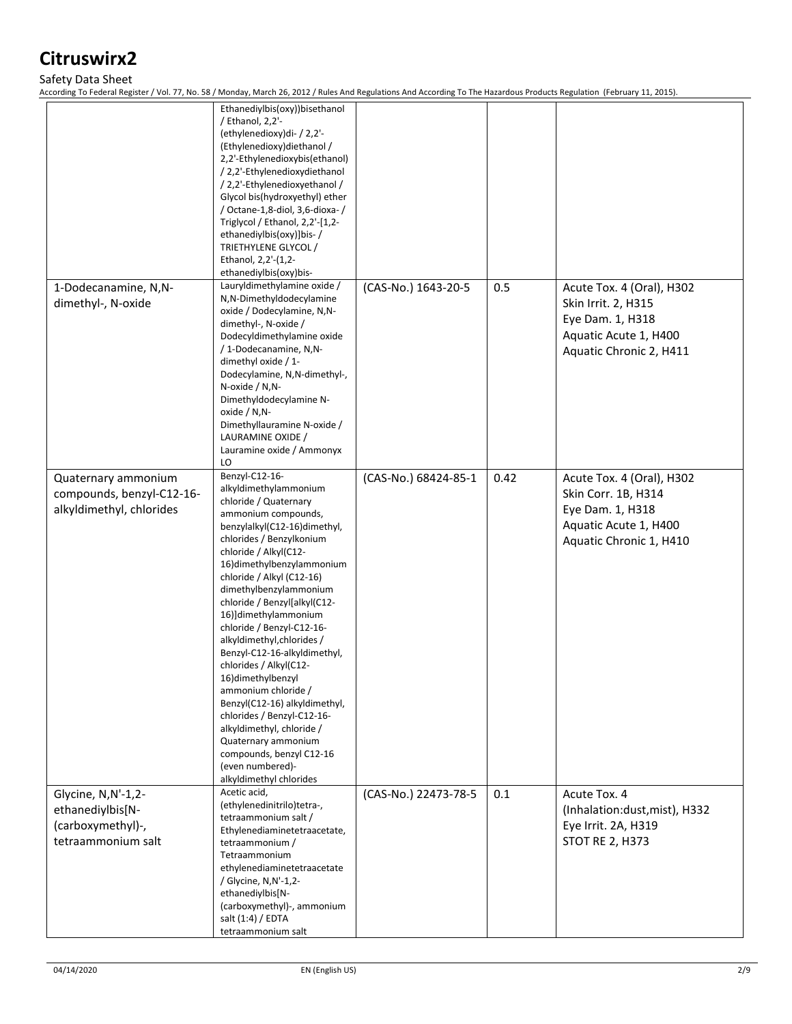#### Safety Data Sheet

According To Federal Register / Vol. 77, No. 58 / Monday, March 26, 2012 / Rules And Regulations And According To The Hazardous Products Regulation (February 11, 2015).

|                                                                                   | Ethanediylbis(oxy))bisethanol<br>/ Ethanol, 2,2'-<br>(ethylenedioxy)di- / 2,2'-<br>(Ethylenedioxy) diethanol /<br>2,2'-Ethylenedioxybis(ethanol)<br>/ 2,2'-Ethylenedioxydiethanol<br>/ 2,2'-Ethylenedioxyethanol /<br>Glycol bis(hydroxyethyl) ether<br>/ Octane-1,8-diol, 3,6-dioxa-/<br>Triglycol / Ethanol, $2,2'$ -[1,2-<br>ethanediylbis(oxy)]bis-/<br>TRIETHYLENE GLYCOL /<br>Ethanol, 2,2'-(1,2-<br>ethanediylbis(oxy)bis-                                                                                                                                                                                                                                                        |                      |      |                                                                                                                          |
|-----------------------------------------------------------------------------------|------------------------------------------------------------------------------------------------------------------------------------------------------------------------------------------------------------------------------------------------------------------------------------------------------------------------------------------------------------------------------------------------------------------------------------------------------------------------------------------------------------------------------------------------------------------------------------------------------------------------------------------------------------------------------------------|----------------------|------|--------------------------------------------------------------------------------------------------------------------------|
| 1-Dodecanamine, N,N-<br>dimethyl-, N-oxide                                        | Lauryldimethylamine oxide /<br>N,N-Dimethyldodecylamine<br>oxide / Dodecylamine, N,N-<br>dimethyl-, N-oxide /<br>Dodecyldimethylamine oxide<br>/ 1-Dodecanamine, N,N-<br>dimethyl oxide $/1$ -<br>Dodecylamine, N, N-dimethyl-,<br>$N$ -oxide / $N$ , $N$ -<br>Dimethyldodecylamine N-<br>oxide / N,N-<br>Dimethyllauramine N-oxide /<br>LAURAMINE OXIDE /<br>Lauramine oxide / Ammonyx<br>LO                                                                                                                                                                                                                                                                                            | (CAS-No.) 1643-20-5  | 0.5  | Acute Tox. 4 (Oral), H302<br>Skin Irrit. 2, H315<br>Eye Dam. 1, H318<br>Aquatic Acute 1, H400<br>Aquatic Chronic 2, H411 |
| Quaternary ammonium<br>compounds, benzyl-C12-16-<br>alkyldimethyl, chlorides      | Benzyl-C12-16-<br>alkyldimethylammonium<br>chloride / Quaternary<br>ammonium compounds,<br>benzylalkyl(C12-16)dimethyl,<br>chlorides / Benzylkonium<br>chloride / Alkyl(C12-<br>16) dimethylbenzylammonium<br>chloride / Alkyl (C12-16)<br>dimethylbenzylammonium<br>chloride / Benzyl[alkyl(C12-<br>16)]dimethylammonium<br>chloride / Benzyl-C12-16-<br>alkyldimethyl, chlorides /<br>Benzyl-C12-16-alkyldimethyl,<br>chlorides / Alkyl(C12-<br>16)dimethylbenzyl<br>ammonium chloride /<br>Benzyl(C12-16) alkyldimethyl,<br>chlorides / Benzyl-C12-16-<br>alkyldimethyl, chloride /<br>Quaternary ammonium<br>compounds, benzyl C12-16<br>(even numbered)-<br>alkyldimethyl chlorides | (CAS-No.) 68424-85-1 | 0.42 | Acute Tox. 4 (Oral), H302<br>Skin Corr. 1B, H314<br>Eye Dam. 1, H318<br>Aquatic Acute 1, H400<br>Aquatic Chronic 1, H410 |
| Glycine, N,N'-1,2-<br>ethanediylbis[N-<br>(carboxymethyl)-,<br>tetraammonium salt | Acetic acid,<br>(ethylenedinitrilo)tetra-,<br>tetraammonium salt /<br>Ethylenediaminetetraacetate,<br>tetraammonium /<br>Tetraammonium<br>ethylenediaminetetraacetate<br>/ Glycine, N,N'-1,2-<br>ethanediylbis[N-<br>(carboxymethyl)-, ammonium<br>salt (1:4) / EDTA<br>tetraammonium salt                                                                                                                                                                                                                                                                                                                                                                                               | (CAS-No.) 22473-78-5 | 0.1  | Acute Tox. 4<br>(Inhalation:dust, mist), H332<br>Eye Irrit. 2A, H319<br>STOT RE 2, H373                                  |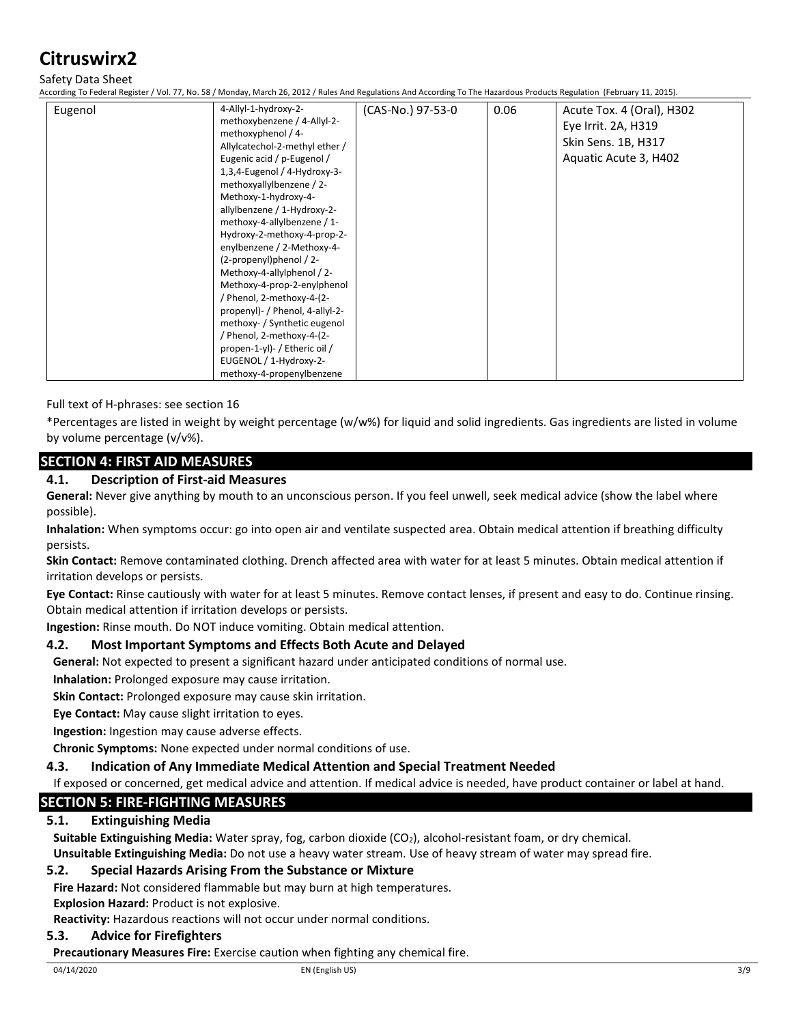# Safety Data Sheet

According To Federal Register / Vol. 77, No. 58 / Monday, March 26, 2012 / Rules And Regulations And According To The Hazardous Products Regulation (February 11, 2015).

| Eugenol | 4-Allyl-1-hydroxy-2-<br>methoxybenzene / 4-Allyl-2-<br>methoxyphenol / 4-<br>Allylcatechol-2-methyl ether /<br>Eugenic acid / p-Eugenol /<br>1,3,4-Eugenol / 4-Hydroxy-3-<br>methoxyallylbenzene / 2-<br>Methoxy-1-hydroxy-4-<br>allylbenzene / 1-Hydroxy-2-<br>methoxy-4-allylbenzene / 1-<br>Hydroxy-2-methoxy-4-prop-2-<br>enylbenzene / 2-Methoxy-4-<br>(2-propenyl)phenol / 2-<br>Methoxy-4-allylphenol / 2-<br>Methoxy-4-prop-2-enylphenol<br>/ Phenol, 2-methoxy-4-(2-<br>propenyl)- / Phenol, 4-allyl-2-<br>methoxy- / Synthetic eugenol | (CAS-No.) 97-53-0 | 0.06 | Acute Tox. 4 (Oral), H302<br>Eye Irrit. 2A, H319<br>Skin Sens. 1B, H317<br>Aquatic Acute 3, H402 |
|---------|--------------------------------------------------------------------------------------------------------------------------------------------------------------------------------------------------------------------------------------------------------------------------------------------------------------------------------------------------------------------------------------------------------------------------------------------------------------------------------------------------------------------------------------------------|-------------------|------|--------------------------------------------------------------------------------------------------|
|         | / Phenol, 2-methoxy-4-(2-<br>propen-1-yl)- / Etheric oil /<br>EUGENOL / 1-Hydroxy-2-<br>methoxy-4-propenylbenzene                                                                                                                                                                                                                                                                                                                                                                                                                                |                   |      |                                                                                                  |

Full text of H-phrases: see section 16

\*Percentages are listed in weight by weight percentage (w/w%) for liquid and solid ingredients. Gas ingredients are listed in volume by volume percentage (v/v%).

# **SECTION 4: FIRST AID MEASURES**

### **4.1. Description of First-aid Measures**

**General:** Never give anything by mouth to an unconscious person. If you feel unwell, seek medical advice (show the label where possible).

**Inhalation:** When symptoms occur: go into open air and ventilate suspected area. Obtain medical attention if breathing difficulty persists.

**Skin Contact:** Remove contaminated clothing. Drench affected area with water for at least 5 minutes. Obtain medical attention if irritation develops or persists.

**Eye Contact:** Rinse cautiously with water for at least 5 minutes. Remove contact lenses, if present and easy to do. Continue rinsing. Obtain medical attention if irritation develops or persists.

**Ingestion:** Rinse mouth. Do NOT induce vomiting. Obtain medical attention.

#### **4.2. Most Important Symptoms and Effects Both Acute and Delayed**

**General:** Not expected to present a significant hazard under anticipated conditions of normal use.

**Inhalation:** Prolonged exposure may cause irritation.

**Skin Contact:** Prolonged exposure may cause skin irritation.

**Eye Contact:** May cause slight irritation to eyes.

**Ingestion:** Ingestion may cause adverse effects.

**Chronic Symptoms:** None expected under normal conditions of use.

#### **4.3. Indication of Any Immediate Medical Attention and Special Treatment Needed**

If exposed or concerned, get medical advice and attention. If medical advice is needed, have product container or label at hand.

#### **SECTION 5: FIRE-FIGHTING MEASURES**

#### **5.1. Extinguishing Media**

**Suitable Extinguishing Media:** Water spray, fog, carbon dioxide (CO2), alcohol-resistant foam, or dry chemical.

**Unsuitable Extinguishing Media:** Do not use a heavy water stream. Use of heavy stream of water may spread fire.

#### **5.2. Special Hazards Arising From the Substance or Mixture**

**Fire Hazard:** Not considered flammable but may burn at high temperatures.

**Explosion Hazard:** Product is not explosive.

**Reactivity:** Hazardous reactions will not occur under normal conditions.

#### **5.3. Advice for Firefighters**

**Precautionary Measures Fire:** Exercise caution when fighting any chemical fire.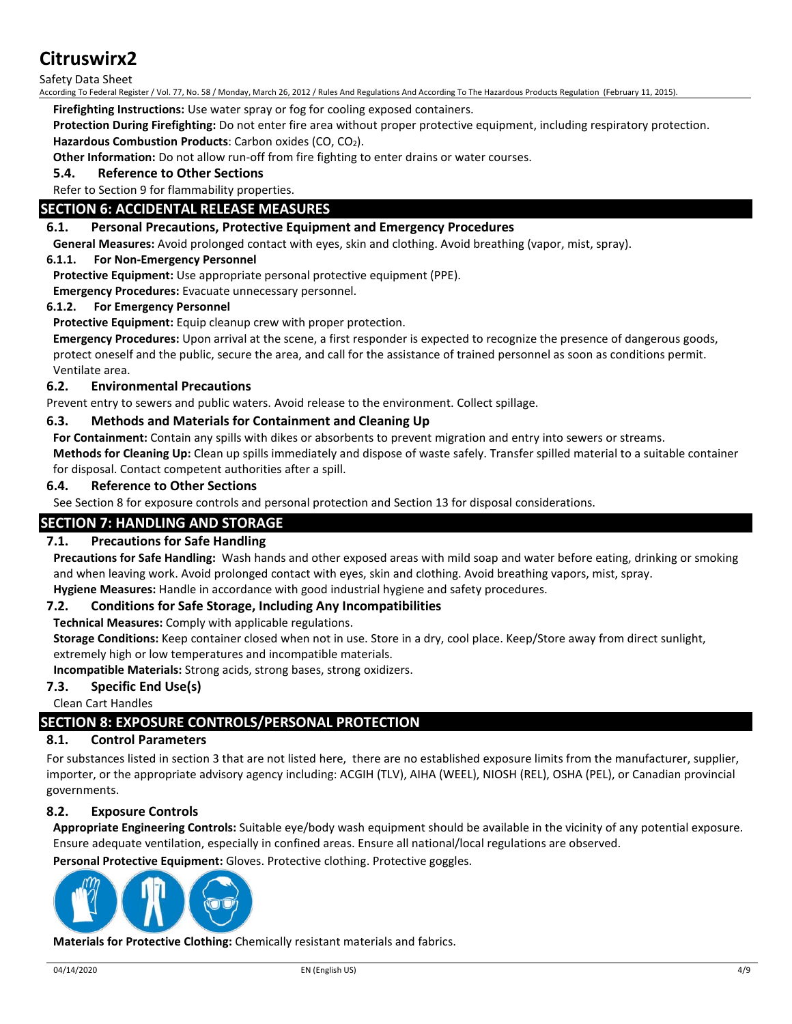Safety Data Sheet

According To Federal Register / Vol. 77, No. 58 / Monday, March 26, 2012 / Rules And Regulations And According To The Hazardous Products Regulation (February 11, 2015).

**Firefighting Instructions:** Use water spray or fog for cooling exposed containers.

**Protection During Firefighting:** Do not enter fire area without proper protective equipment, including respiratory protection. **Hazardous Combustion Products**: Carbon oxides (CO, CO2).

**Other Information:** Do not allow run-off from fire fighting to enter drains or water courses.

**5.4. Reference to Other Sections**

#### Refer to Section 9 for flammability properties.

### **SECTION 6: ACCIDENTAL RELEASE MEASURES**

#### **6.1. Personal Precautions, Protective Equipment and Emergency Procedures**

**General Measures:** Avoid prolonged contact with eyes, skin and clothing. Avoid breathing (vapor, mist, spray).

#### **6.1.1. For Non-Emergency Personnel**

**Protective Equipment:** Use appropriate personal protective equipment (PPE).

**Emergency Procedures:** Evacuate unnecessary personnel.

#### **6.1.2. For Emergency Personnel**

**Protective Equipment:** Equip cleanup crew with proper protection.

**Emergency Procedures:** Upon arrival at the scene, a first responder is expected to recognize the presence of dangerous goods, protect oneself and the public, secure the area, and call for the assistance of trained personnel as soon as conditions permit. Ventilate area.

#### **6.2. Environmental Precautions**

Prevent entry to sewers and public waters. Avoid release to the environment. Collect spillage.

#### **6.3. Methods and Materials for Containment and Cleaning Up**

**For Containment:** Contain any spills with dikes or absorbents to prevent migration and entry into sewers or streams.

**Methods for Cleaning Up:** Clean up spills immediately and dispose of waste safely. Transfer spilled material to a suitable container for disposal. Contact competent authorities after a spill.

#### **6.4. Reference to Other Sections**

See Section 8 for exposure controls and personal protection and Section 13 for disposal considerations.

#### **SECTION 7: HANDLING AND STORAGE**

#### **7.1. Precautions for Safe Handling**

**Precautions for Safe Handling:** Wash hands and other exposed areas with mild soap and water before eating, drinking or smoking and when leaving work. Avoid prolonged contact with eyes, skin and clothing. Avoid breathing vapors, mist, spray. **Hygiene Measures:** Handle in accordance with good industrial hygiene and safety procedures.

#### **7.2. Conditions for Safe Storage, Including Any Incompatibilities**

**Technical Measures:** Comply with applicable regulations.

**Storage Conditions:** Keep container closed when not in use. Store in a dry, cool place. Keep/Store away from direct sunlight, extremely high or low temperatures and incompatible materials.

**Incompatible Materials:** Strong acids, strong bases, strong oxidizers.

#### **7.3. Specific End Use(s)**

Clean Cart Handles

# **SECTION 8: EXPOSURE CONTROLS/PERSONAL PROTECTION**

#### **8.1. Control Parameters**

For substances listed in section 3 that are not listed here, there are no established exposure limits from the manufacturer, supplier, importer, or the appropriate advisory agency including: ACGIH (TLV), AIHA (WEEL), NIOSH (REL), OSHA (PEL), or Canadian provincial governments.

#### **8.2. Exposure Controls**

**Appropriate Engineering Controls:** Suitable eye/body wash equipment should be available in the vicinity of any potential exposure. Ensure adequate ventilation, especially in confined areas. Ensure all national/local regulations are observed.

**Personal Protective Equipment:** Gloves. Protective clothing. Protective goggles.



**Materials for Protective Clothing:** Chemically resistant materials and fabrics.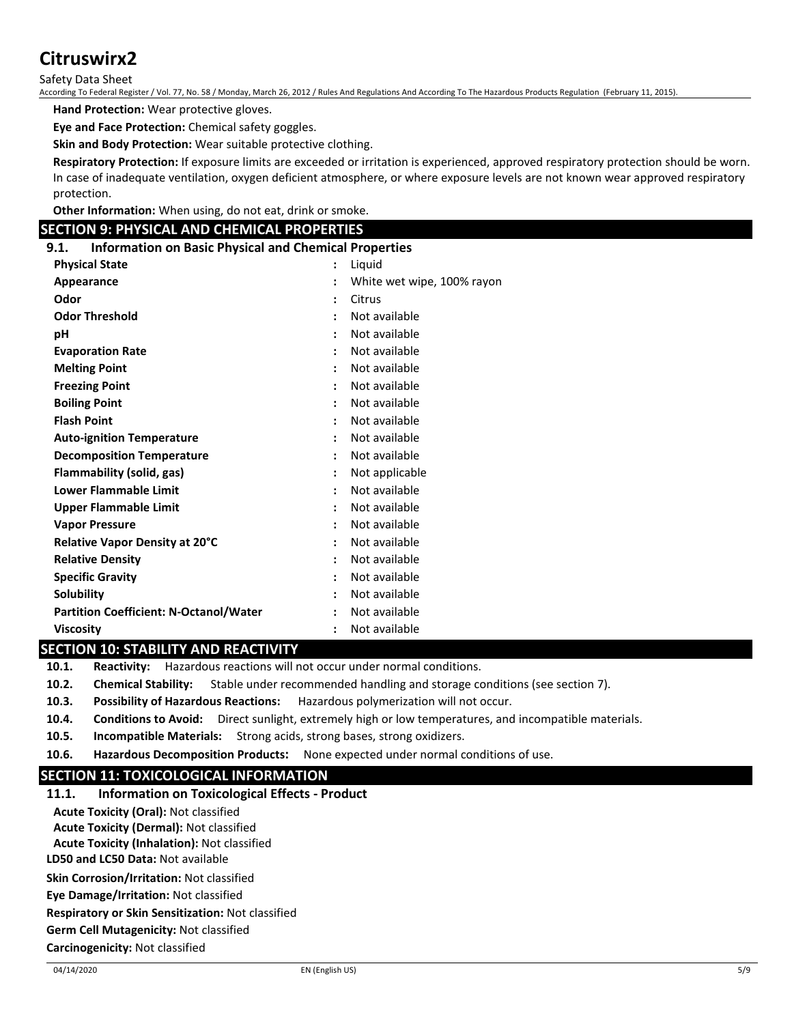Safety Data Sheet

According To Federal Register / Vol. 77, No. 58 / Monday, March 26, 2012 / Rules And Regulations And According To The Hazardous Products Regulation (February 11, 2015).

**Hand Protection:** Wear protective gloves.

**Eye and Face Protection:** Chemical safety goggles.

**Skin and Body Protection:** Wear suitable protective clothing.

**Respiratory Protection:** If exposure limits are exceeded or irritation is experienced, approved respiratory protection should be worn. In case of inadequate ventilation, oxygen deficient atmosphere, or where exposure levels are not known wear approved respiratory protection.

**Other Information:** When using, do not eat, drink or smoke.

#### **SECTION 9: PHYSICAL AND CHEMICAL PROPERTIES**

| 9.1. | <b>Information on Basic Physical and Chemical Properties</b> |                |
|------|--------------------------------------------------------------|----------------|
|      | <b>Dhycical State</b>                                        | $\cdot$ liguid |

| <b>Physical State</b>                         | $\ddot{\cdot}$       | Liquid                     |
|-----------------------------------------------|----------------------|----------------------------|
| Appearance                                    | $\ddot{\cdot}$       | White wet wipe, 100% rayon |
| Odor                                          | $\ddot{\cdot}$       | Citrus                     |
| <b>Odor Threshold</b>                         | $\ddot{\cdot}$       | Not available              |
| рH                                            | $\ddot{\phantom{a}}$ | Not available              |
| <b>Evaporation Rate</b>                       | $\ddot{\cdot}$       | Not available              |
| <b>Melting Point</b>                          | $\ddot{\cdot}$       | Not available              |
| <b>Freezing Point</b>                         | $\ddot{\phantom{a}}$ | Not available              |
| <b>Boiling Point</b>                          | $\ddot{\cdot}$       | Not available              |
| <b>Flash Point</b>                            | $\ddot{\cdot}$       | Not available              |
| <b>Auto-ignition Temperature</b>              | $\ddot{\cdot}$       | Not available              |
| <b>Decomposition Temperature</b>              | $\ddot{\cdot}$       | Not available              |
| Flammability (solid, gas)                     | $\ddot{\cdot}$       | Not applicable             |
| <b>Lower Flammable Limit</b>                  | $\ddot{\cdot}$       | Not available              |
| Upper Flammable Limit                         | $\ddot{\cdot}$       | Not available              |
| <b>Vapor Pressure</b>                         | $\ddot{\cdot}$       | Not available              |
| Relative Vapor Density at 20°C                | $\ddot{\cdot}$       | Not available              |
| <b>Relative Density</b>                       | $\ddot{\phantom{a}}$ | Not available              |
| <b>Specific Gravity</b>                       | $\ddot{\cdot}$       | Not available              |
| <b>Solubility</b>                             | $\ddot{\cdot}$       | Not available              |
| <b>Partition Coefficient: N-Octanol/Water</b> | $\ddot{\phantom{a}}$ | Not available              |
| <b>Viscosity</b>                              | $\ddot{\cdot}$       | Not available              |

#### **SECTION 10: STABILITY AND REACTIVITY**

**10.1. Reactivity:** Hazardous reactions will not occur under normal conditions.

**10.2. Chemical Stability:** Stable under recommended handling and storage conditions (see section 7).

**10.3. Possibility of Hazardous Reactions:** Hazardous polymerization will not occur.

- **10.4. Conditions to Avoid:** Direct sunlight, extremely high or low temperatures, and incompatible materials.
- **10.5. Incompatible Materials:** Strong acids, strong bases, strong oxidizers.
- **10.6. Hazardous Decomposition Products:** None expected under normal conditions of use.

# **SECTION 11: TOXICOLOGICAL INFORMATION**

| <b>Information on Toxicological Effects - Product</b> | 11.1. |
|-------------------------------------------------------|-------|
| <b>Acute Toxicity (Oral): Not classified</b>          |       |
| <b>Acute Toxicity (Dermal): Not classified</b>        |       |
| <b>Acute Toxicity (Inhalation): Not classified</b>    |       |
| LD50 and LC50 Data: Not available                     |       |
| <b>Skin Corrosion/Irritation: Not classified</b>      |       |
| Eye Damage/Irritation: Not classified                 |       |
| Respiratory or Skin Sensitization: Not classified     |       |

**Germ Cell Mutagenicity:** Not classified

**Carcinogenicity:** Not classified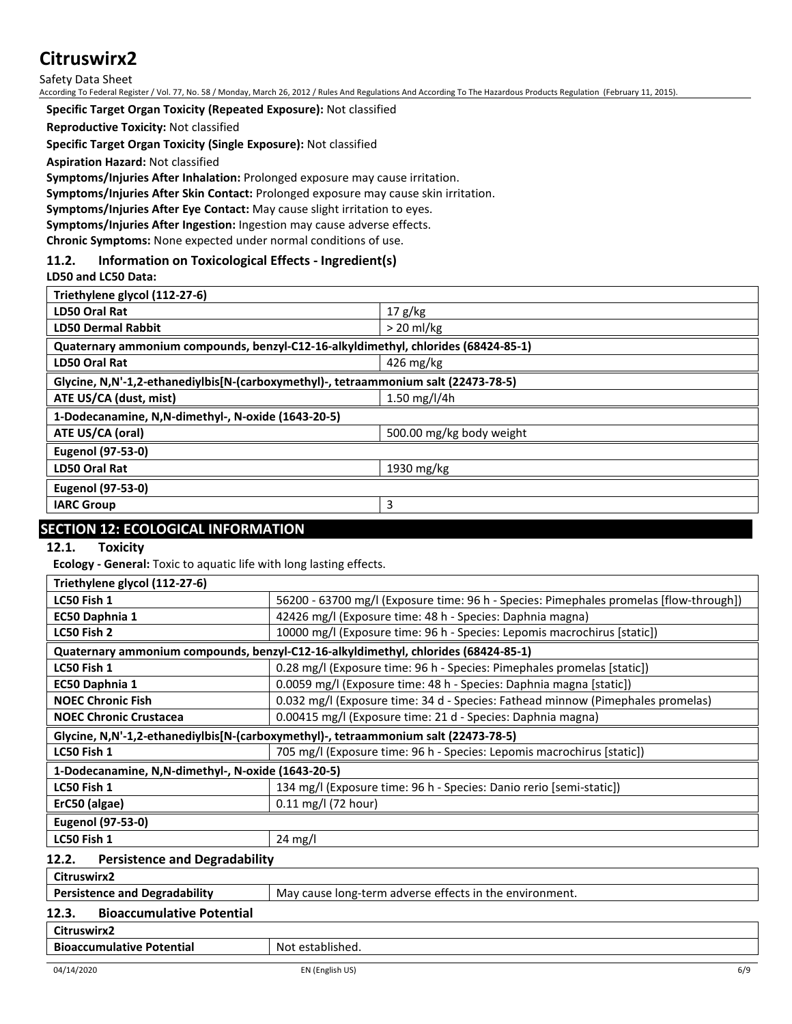Safety Data Sheet

According To Federal Register / Vol. 77, No. 58 / Monday, March 26, 2012 / Rules And Regulations And According To The Hazardous Products Regulation (February 11, 2015).

**Specific Target Organ Toxicity (Repeated Exposure):** Not classified

**Reproductive Toxicity:** Not classified

**Specific Target Organ Toxicity (Single Exposure):** Not classified

**Aspiration Hazard:** Not classified

**Symptoms/Injuries After Inhalation:** Prolonged exposure may cause irritation.

#### **Symptoms/Injuries After Skin Contact:** Prolonged exposure may cause skin irritation.

**Symptoms/Injuries After Eye Contact:** May cause slight irritation to eyes.

**Symptoms/Injuries After Ingestion:** Ingestion may cause adverse effects.

**Chronic Symptoms:** None expected under normal conditions of use.

#### **11.2. Information on Toxicological Effects - Ingredient(s)**

**LD50 and LC50 Data:**

| Triethylene glycol (112-27-6)                                                       |                          |  |  |  |
|-------------------------------------------------------------------------------------|--------------------------|--|--|--|
| LD50 Oral Rat                                                                       | 17 g/kg                  |  |  |  |
| <b>LD50 Dermal Rabbit</b>                                                           | $>20$ ml/kg              |  |  |  |
| Quaternary ammonium compounds, benzyl-C12-16-alkyldimethyl, chlorides (68424-85-1)  |                          |  |  |  |
| <b>LD50 Oral Rat</b>                                                                | 426 mg/kg                |  |  |  |
| Glycine, N,N'-1,2-ethanediylbis[N-(carboxymethyl)-, tetraammonium salt (22473-78-5) |                          |  |  |  |
| ATE US/CA (dust, mist)                                                              | 1.50 mg/l/4h             |  |  |  |
| 1-Dodecanamine, N,N-dimethyl-, N-oxide (1643-20-5)                                  |                          |  |  |  |
| ATE US/CA (oral)                                                                    | 500.00 mg/kg body weight |  |  |  |
| <b>Eugenol (97-53-0)</b>                                                            |                          |  |  |  |
| <b>LD50 Oral Rat</b>                                                                |                          |  |  |  |
|                                                                                     | 1930 mg/kg               |  |  |  |
| <b>Eugenol (97-53-0)</b>                                                            |                          |  |  |  |
| <b>IARC Group</b>                                                                   | 3                        |  |  |  |

# **SECTION 12: ECOLOGICAL INFORMATION**

**12.1. Toxicity**

**Ecology - General:** Toxic to aquatic life with long lasting effects.

| Triethylene glycol (112-27-6)                                                         |                                                                                        |  |  |  |
|---------------------------------------------------------------------------------------|----------------------------------------------------------------------------------------|--|--|--|
| LC50 Fish 1                                                                           | 56200 - 63700 mg/l (Exposure time: 96 h - Species: Pimephales promelas [flow-through]) |  |  |  |
| EC50 Daphnia 1                                                                        | 42426 mg/l (Exposure time: 48 h - Species: Daphnia magna)                              |  |  |  |
| LC50 Fish 2                                                                           | 10000 mg/l (Exposure time: 96 h - Species: Lepomis macrochirus [static])               |  |  |  |
|                                                                                       | Quaternary ammonium compounds, benzyl-C12-16-alkyldimethyl, chlorides (68424-85-1)     |  |  |  |
| LC50 Fish 1                                                                           | 0.28 mg/l (Exposure time: 96 h - Species: Pimephales promelas [static])                |  |  |  |
| EC50 Daphnia 1                                                                        | 0.0059 mg/l (Exposure time: 48 h - Species: Daphnia magna [static])                    |  |  |  |
| <b>NOEC Chronic Fish</b>                                                              | 0.032 mg/l (Exposure time: 34 d - Species: Fathead minnow (Pimephales promelas)        |  |  |  |
| <b>NOEC Chronic Crustacea</b>                                                         | 0.00415 mg/l (Exposure time: 21 d - Species: Daphnia magna)                            |  |  |  |
| Glycine, N,N'-1,2-ethanediylbis[N-(carboxymethyl)-, tetraammonium salt (22473-78-5)   |                                                                                        |  |  |  |
| 705 mg/l (Exposure time: 96 h - Species: Lepomis macrochirus [static])<br>LC50 Fish 1 |                                                                                        |  |  |  |
| 1-Dodecanamine, N,N-dimethyl-, N-oxide (1643-20-5)                                    |                                                                                        |  |  |  |
| LC50 Fish 1                                                                           | 134 mg/l (Exposure time: 96 h - Species: Danio rerio [semi-static])                    |  |  |  |
| ErC50 (algae)                                                                         | $0.11$ mg/l (72 hour)                                                                  |  |  |  |
| <b>Eugenol (97-53-0)</b>                                                              |                                                                                        |  |  |  |
| LC50 Fish 1                                                                           | $24$ mg/l                                                                              |  |  |  |
| <b>Persistence and Degradability</b><br>12.2.                                         |                                                                                        |  |  |  |
| Citruswirx2                                                                           |                                                                                        |  |  |  |
| <b>Persistence and Degradability</b>                                                  | May cause long-term adverse effects in the environment.                                |  |  |  |
| <b>Bioaccumulative Potential</b><br>12.3.                                             |                                                                                        |  |  |  |

# **Citruswirx2**

**Bioaccumulative Potential Rightary Research Rightary Bioaccumulative Potential Rightary Rightary Rightary Rightary**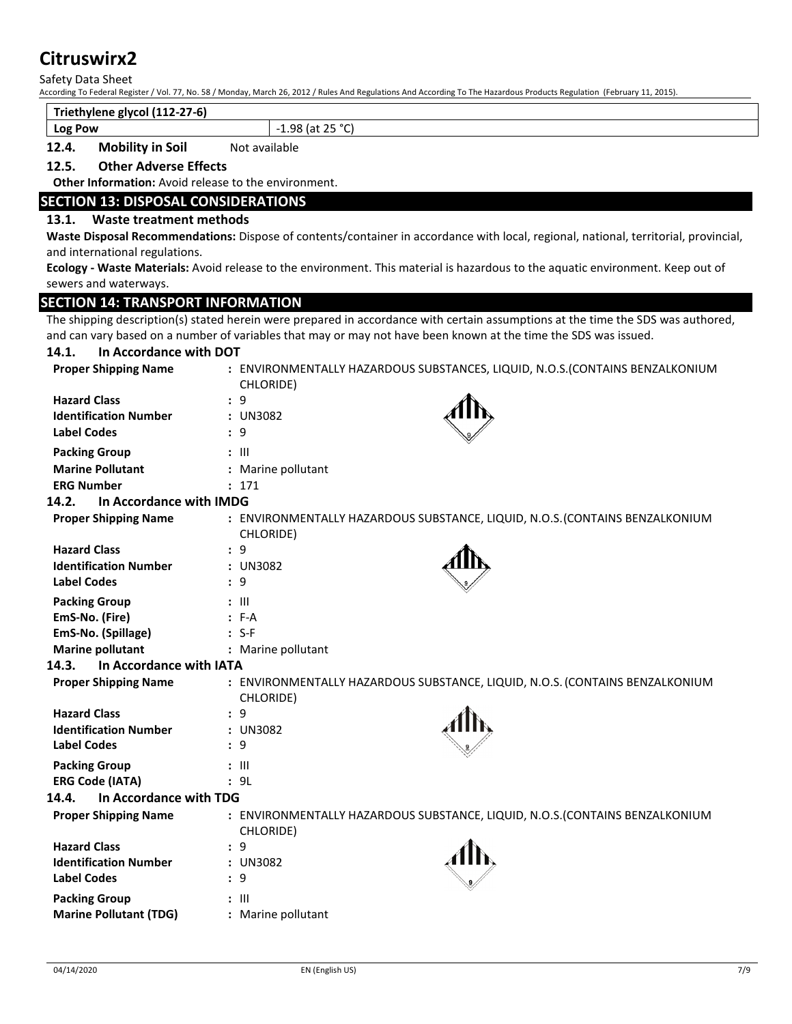Safety Data Sheet

According To Federal Register / Vol. 77, No. 58 / Monday, March 26, 2012 / Rules And Regulations And According To The Hazardous Products Regulation (February 11, 2015).

#### **Triethylene glycol (112-27-6)**

**Log Pow**  $\vert$  -1.98 (at 25 °C)

#### **12.4. Mobility in Soil** Not available

#### **12.5. Other Adverse Effects**

**Other Information:** Avoid release to the environment.

#### **SECTION 13: DISPOSAL CONSIDERATIONS**

#### **13.1. Waste treatment methods**

**14.1. In Accordance with DOT**

**Waste Disposal Recommendations:** Dispose of contents/container in accordance with local, regional, national, territorial, provincial, and international regulations.

**Ecology - Waste Materials:** Avoid release to the environment. This material is hazardous to the aquatic environment. Keep out of sewers and waterways.

#### **SECTION 14: TRANSPORT INFORMATION**

The shipping description(s) stated herein were prepared in accordance with certain assumptions at the time the SDS was authored, and can vary based on a number of variables that may or may not have been known at the time the SDS was issued.

| <b>Proper Shipping Name</b>      | CHLORIDE)          | : ENVIRONMENTALLY HAZARDOUS SUBSTANCES, LIQUID, N.O.S. (CONTAINS BENZALKONIUM |
|----------------------------------|--------------------|-------------------------------------------------------------------------------|
| <b>Hazard Class</b>              | : 9                |                                                                               |
| <b>Identification Number</b>     | : UN3082           |                                                                               |
| <b>Label Codes</b>               | : 9                |                                                                               |
| <b>Packing Group</b>             | $: \mathsf{III}$   |                                                                               |
| <b>Marine Pollutant</b>          | : Marine pollutant |                                                                               |
| <b>ERG Number</b>                | : 171              |                                                                               |
| In Accordance with IMDG<br>14.2. |                    |                                                                               |
| <b>Proper Shipping Name</b>      | CHLORIDE)          | : ENVIRONMENTALLY HAZARDOUS SUBSTANCE, LIQUID, N.O.S. (CONTAINS BENZALKONIUM  |
| <b>Hazard Class</b>              | : 9                |                                                                               |
| <b>Identification Number</b>     | : UN3082           |                                                                               |
| <b>Label Codes</b>               | : 9                |                                                                               |
| <b>Packing Group</b>             | $:$ $\mathbb{H}$   |                                                                               |
| EmS-No. (Fire)                   | $: F-A$            |                                                                               |
| EmS-No. (Spillage)               | $: S-F$            |                                                                               |
| <b>Marine pollutant</b>          | : Marine pollutant |                                                                               |
| In Accordance with IATA<br>14.3. |                    |                                                                               |
| <b>Proper Shipping Name</b>      | CHLORIDE)          | : ENVIRONMENTALLY HAZARDOUS SUBSTANCE, LIQUID, N.O.S. (CONTAINS BENZALKONIUM  |
| <b>Hazard Class</b>              | : 9                |                                                                               |
| <b>Identification Number</b>     | : UN3082           |                                                                               |
| <b>Label Codes</b>               | : 9                |                                                                               |
| <b>Packing Group</b>             | $: \mathbb{H}$     |                                                                               |
| <b>ERG Code (IATA)</b>           | : 9L               |                                                                               |
| In Accordance with TDG<br>14.4.  |                    |                                                                               |
| <b>Proper Shipping Name</b>      | CHLORIDE)          | : ENVIRONMENTALLY HAZARDOUS SUBSTANCE, LIQUID, N.O.S. (CONTAINS BENZALKONIUM  |
| <b>Hazard Class</b>              | : 9                |                                                                               |
| <b>Identification Number</b>     | : UN3082           |                                                                               |
| <b>Label Codes</b>               | : 9                |                                                                               |
| <b>Packing Group</b>             | $: \mathbb{H}$     |                                                                               |
| <b>Marine Pollutant (TDG)</b>    | : Marine pollutant |                                                                               |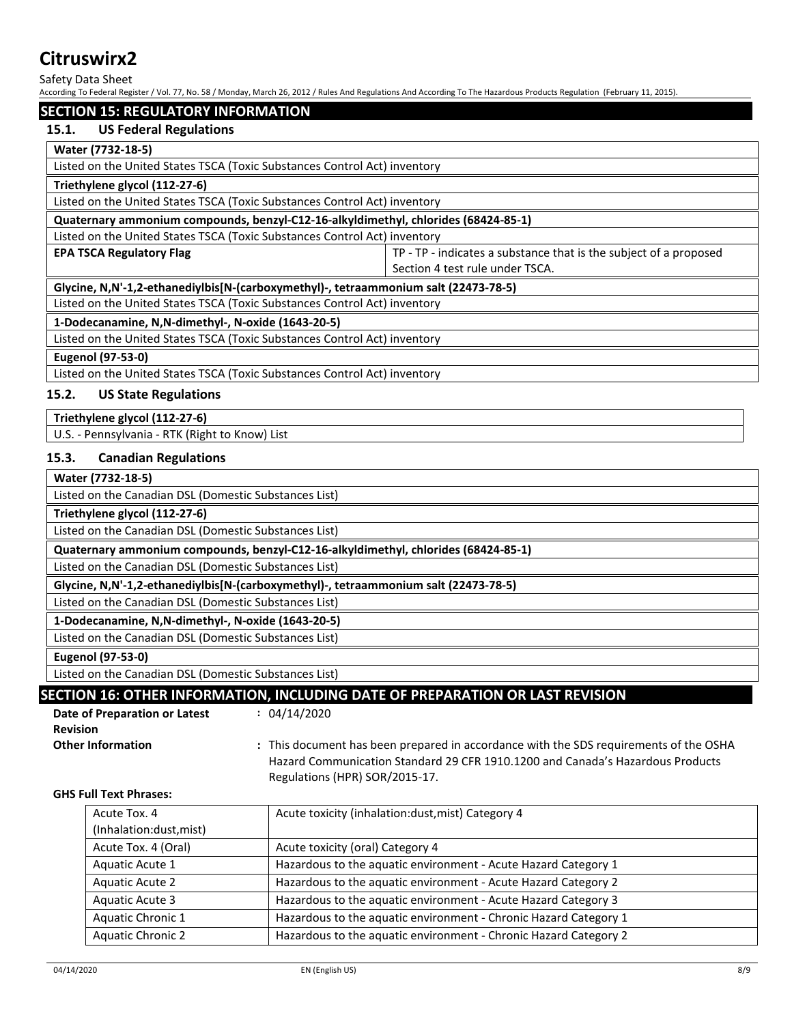Safety Data Sheet

According To Federal Register / Vol. 77, No. 58 / Monday, March 26, 2012 / Rules And Regulations And According To The Hazardous Products Regulation (February 11, 2015).

#### **SECTION 15: REGULATORY INFORMATION**

#### **15.1. US Federal Regulations**

#### **Water (7732-18-5)**

Listed on the United States TSCA (Toxic Substances Control Act) inventory

#### **Triethylene glycol (112-27-6)**

Listed on the United States TSCA (Toxic Substances Control Act) inventory

**Quaternary ammonium compounds, benzyl-C12-16-alkyldimethyl, chlorides (68424-85-1)**

Listed on the United States TSCA (Toxic Substances Control Act) inventory

**EPA TSCA Regulatory Flag** TP - TP - indicates a substance that is the subject of a proposed Section 4 test rule under TSCA.

#### **Glycine, N,N'-1,2-ethanediylbis[N-(carboxymethyl)-, tetraammonium salt (22473-78-5)**

Listed on the United States TSCA (Toxic Substances Control Act) inventory

#### **1-Dodecanamine, N,N-dimethyl-, N-oxide (1643-20-5)**

Listed on the United States TSCA (Toxic Substances Control Act) inventory

**Eugenol (97-53-0)**

Listed on the United States TSCA (Toxic Substances Control Act) inventory

#### **15.2. US State Regulations**

#### **Triethylene glycol (112-27-6)**

U.S. - Pennsylvania - RTK (Right to Know) List

#### **15.3. Canadian Regulations**

#### **Water (7732-18-5)**

Listed on the Canadian DSL (Domestic Substances List)

#### **Triethylene glycol (112-27-6)**

Listed on the Canadian DSL (Domestic Substances List)

**Quaternary ammonium compounds, benzyl-C12-16-alkyldimethyl, chlorides (68424-85-1)**

Listed on the Canadian DSL (Domestic Substances List)

**Glycine, N,N'-1,2-ethanediylbis[N-(carboxymethyl)-, tetraammonium salt (22473-78-5)**

Listed on the Canadian DSL (Domestic Substances List)

**1-Dodecanamine, N,N-dimethyl-, N-oxide (1643-20-5)**

Listed on the Canadian DSL (Domestic Substances List)

**Eugenol (97-53-0)**

Listed on the Canadian DSL (Domestic Substances List)

# **SECTION 16: OTHER INFORMATION, INCLUDING DATE OF PREPARATION OR LAST REVISION**

| Date of Preparation or Latest | : 04/1 |
|-------------------------------|--------|
| <b>Revision</b>               |        |
|                               |        |

**:** 04/14/2020

### **Other Information :** This document has been prepared in accordance with the SDS requirements of the OSHA Hazard Communication Standard 29 CFR 1910.1200 and Canada's Hazardous Products Regulations (HPR) SOR/2015-17.

#### **GHS Full Text Phrases:**

| Acute Tox. 4<br>(Inhalation:dust, mist) | Acute toxicity (inhalation:dust, mist) Category 4                |
|-----------------------------------------|------------------------------------------------------------------|
|                                         |                                                                  |
| Acute Tox. 4 (Oral)                     | Acute toxicity (oral) Category 4                                 |
| Aquatic Acute 1                         | Hazardous to the aquatic environment - Acute Hazard Category 1   |
| <b>Aquatic Acute 2</b>                  | Hazardous to the aquatic environment - Acute Hazard Category 2   |
| Aquatic Acute 3                         | Hazardous to the aquatic environment - Acute Hazard Category 3   |
| Aquatic Chronic 1                       | Hazardous to the aquatic environment - Chronic Hazard Category 1 |
| <b>Aquatic Chronic 2</b>                | Hazardous to the aquatic environment - Chronic Hazard Category 2 |